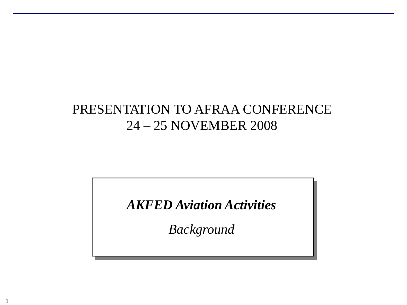# PRESENTATION TO AFRAA CONFERENCE 24 – 25 NOVEMBER 2008

*AKFED Aviation Activities*

*Background*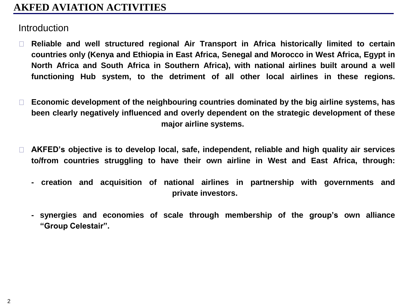## **AKFED AVIATION ACTIVITIES**

#### **Introduction**

- **Reliable and well structured regional Air Transport in Africa historically limited to certain**  $\Box$ **countries only (Kenya and Ethiopia in East Africa, Senegal and Morocco in West Africa, Egypt in North Africa and South Africa in Southern Africa), with national airlines built around a well functioning Hub system, to the detriment of all other local airlines in these regions.**
- **Economic development of the neighbouring countries dominated by the big airline systems, has**  $\Box$ **been clearly negatively influenced and overly dependent on the strategic development of these major airline systems.**
- **AKFED's objective is to develop local, safe, independent, reliable and high quality air services**  $\Box$ **to/from countries struggling to have their own airline in West and East Africa, through:**
	- **- creation and acquisition of national airlines in partnership with governments and private investors.**
	- **- synergies and economies of scale through membership of the group's own alliance "Group Celestair".**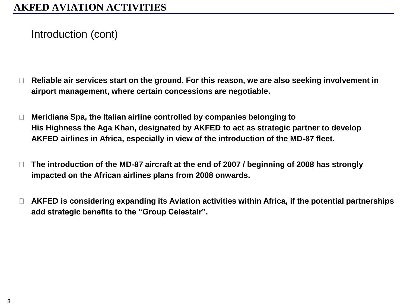Introduction (cont)

- **Reliable air services start on the ground. For this reason, we are also seeking involvement in**   $\Box$ **airport management, where certain concessions are negotiable.**
- **Meridiana Spa, the Italian airline controlled by companies belonging to**   $\Box$ **His Highness the Aga Khan, designated by AKFED to act as strategic partner to develop AKFED airlines in Africa, especially in view of the introduction of the MD-87 fleet.**
- **The introduction of the MD-87 aircraft at the end of 2007 / beginning of 2008 has strongly**   $\Box$ **impacted on the African airlines plans from 2008 onwards.**
- **AKFED is considering expanding its Aviation activities within Africa, if the potential partnerships**   $\Box$ **add strategic benefits to the "Group Celestair".**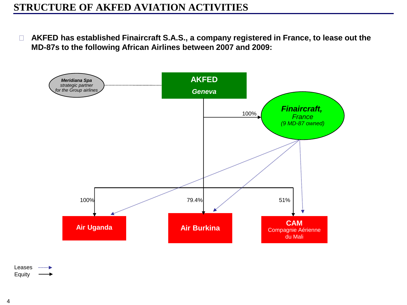## **STRUCTURE OF AKFED AVIATION ACTIVITIES**

**AKFED has established Finaircraft S.A.S., a company registered in France, to lease out the MD-87s to the following African Airlines between 2007 and 2009:** 



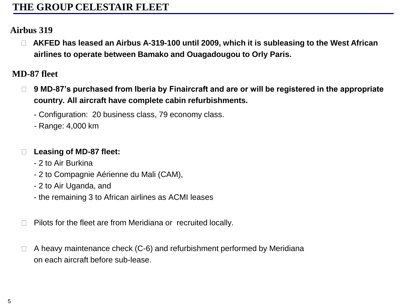## **THE GROUP CELESTAIR FLEET**

#### **Airbus 319**

 **AKFED has leased an Airbus A-319-100 until 2009, which it is subleasing to the West African airlines to operate between Bamako and Ouagadougou to Orly Paris.**

#### **MD-87 fleet**

- **9 MD-87's purchased from Iberia by Finaircraft and are or will be registered in the appropriate**   $\Box$ **country. All aircraft have complete cabin refurbishments.**
	- Configuration: 20 business class, 79 economy class.
	- Range: 4,000 km

#### **Leasing of MD-87 fleet:**

- 2 to Air Burkina
- 2 to Compagnie Aérienne du Mali (CAM),
- 2 to Air Uganda, and
- the remaining 3 to African airlines as ACMI leases
- Pilots for the fleet are from Meridiana or recruited locally.
- A heavy maintenance check (C-6) and refurbishment performed by Meridiana on each aircraft before sub-lease.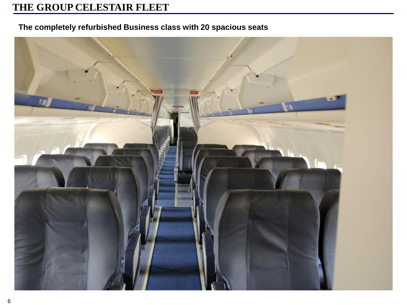# **THE GROUP CELESTAIR FLEET**

#### **The completely refurbished Business class with 20 spacious seats**

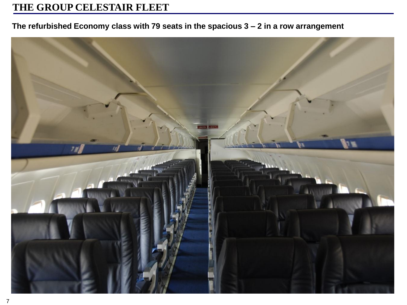## **THE GROUP CELESTAIR FLEET**

#### **The refurbished Economy class with 79 seats in the spacious 3 – 2 in a row arrangement**

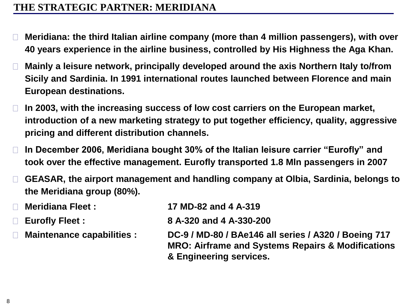## **THE STRATEGIC PARTNER: MERIDIANA**

- **Meridiana: the third Italian airline company (more than 4 million passengers), with over 40 years experience in the airline business, controlled by His Highness the Aga Khan.**
- **Mainly a leisure network, principally developed around the axis Northern Italy to/from Sicily and Sardinia. In 1991 international routes launched between Florence and main European destinations.**
- **In 2003, with the increasing success of low cost carriers on the European market, introduction of a new marketing strategy to put together efficiency, quality, aggressive pricing and different distribution channels.**
- **In December 2006, Meridiana bought 30% of the Italian leisure carrier "Eurofly" and**   $\Box$ **took over the effective management. Eurofly transported 1.8 Mln passengers in 2007**
- **GEASAR, the airport management and handling company at Olbia, Sardinia, belongs to the Meridiana group (80%).**

| $\Box$ Meridiana Fleet :          | 17 MD-82 and 4 A-319                                                                                                                            |
|-----------------------------------|-------------------------------------------------------------------------------------------------------------------------------------------------|
| <b>Eurofly Fleet:</b><br>$\Box$   | 8 A-320 and 4 A-330-200                                                                                                                         |
| <b>Maintenance capabilities :</b> | DC-9 / MD-80 / BAe146 all series / A320 / Boeing 717<br><b>MRO: Airframe and Systems Repairs &amp; Modifications</b><br>& Engineering services. |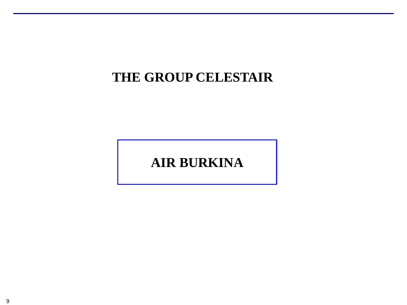# **THE GROUP CELESTAIR**

# **AIR BURKINA**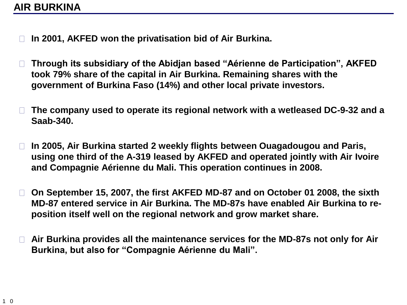- **In 2001, AKFED won the privatisation bid of Air Burkina.**
- **Through its subsidiary of the Abidjan based "Aérienne de Participation", AKFED**   $\Box$ **took 79% share of the capital in Air Burkina. Remaining shares with the government of Burkina Faso (14%) and other local private investors.**
- **The company used to operate its regional network with a wetleased DC-9-32 and a Saab-340.**
- **In 2005, Air Burkina started 2 weekly flights between Ouagadougou and Paris,**   $\Box$ **using one third of the A-319 leased by AKFED and operated jointly with Air Ivoire and Compagnie Aérienne du Mali. This operation continues in 2008.**
- $\Box$ **On September 15, 2007, the first AKFED MD-87 and on October 01 2008, the sixth MD-87 entered service in Air Burkina. The MD-87s have enabled Air Burkina to reposition itself well on the regional network and grow market share.**
- **Air Burkina provides all the maintenance services for the MD-87s not only for Air**   $\Box$ **Burkina, but also for "Compagnie Aérienne du Mali".**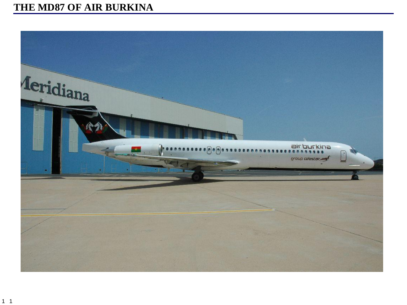# THE MD87 OF AIR BURKINA

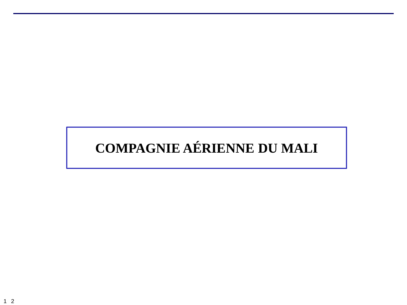# **COMPAGNIE AÉRIENNE DU MALI**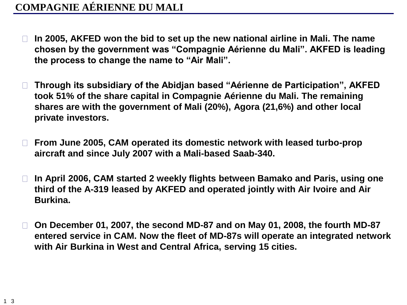- **In 2005, AKFED won the bid to set up the new national airline in Mali. The name chosen by the government was "Compagnie Aérienne du Mali". AKFED is leading the process to change the name to "Air Mali".**
- **Through its subsidiary of the Abidjan based "Aérienne de Participation", AKFED took 51% of the share capital in Compagnie Aérienne du Mali. The remaining shares are with the government of Mali (20%), Agora (21,6%) and other local private investors.**
- **From June 2005, CAM operated its domestic network with leased turbo-prop**   $\Box$ **aircraft and since July 2007 with a Mali-based Saab-340.**
- **In April 2006, CAM started 2 weekly flights between Bamako and Paris, using one**   $\Box$ **third of the A-319 leased by AKFED and operated jointly with Air Ivoire and Air Burkina.**
- **On December 01, 2007, the second MD-87 and on May 01, 2008, the fourth MD-87**   $\Box$ **entered service in CAM. Now the fleet of MD-87s will operate an integrated network with Air Burkina in West and Central Africa, serving 15 cities.**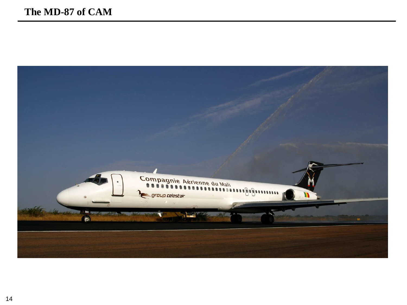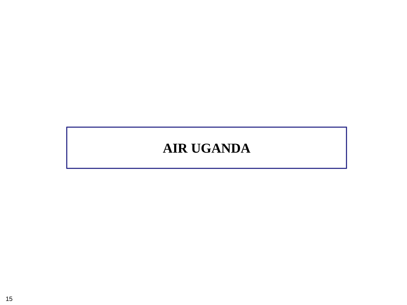# **AIR UGANDA**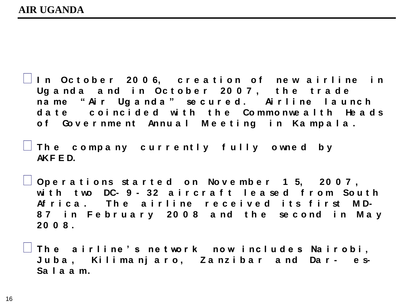**I n Oc t o b e r 2 0 0 6, c r e a t i o n o f ne w a i r l i ne i n**  Uganda and in October 2007, the trade **na me " Ai r Ug a nd a " se c u r e d . Ai r l i ne l a u nc h**  d a t e coincided with the Commonwealth Heads of Government Annual Meeting in Kampala.

 $\Box$  The company currently fully owned by **AKF E D.** 

**Op e r a t i o ns st a r t e d o n No v e mb e r 1 5, 2 0 0 7 ,**  with two DC-9-32 aircraft leased from South Af rica. The airline received its first MD-**8 7 i n F e b r u a r y 2 0 0 8 a nd t h e se c o nd i n M a y 2 0 0 8 .** 

 $\Box$  The airline's network now includes Nairobi, **J u b a , Ki l i ma nj a r o , Z a nz i b a r a nd Da r - e s-Sa l a a m.**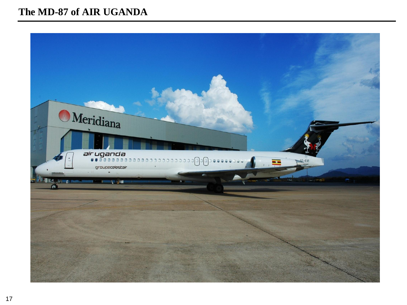#### The MD-87 of AIR UGANDA